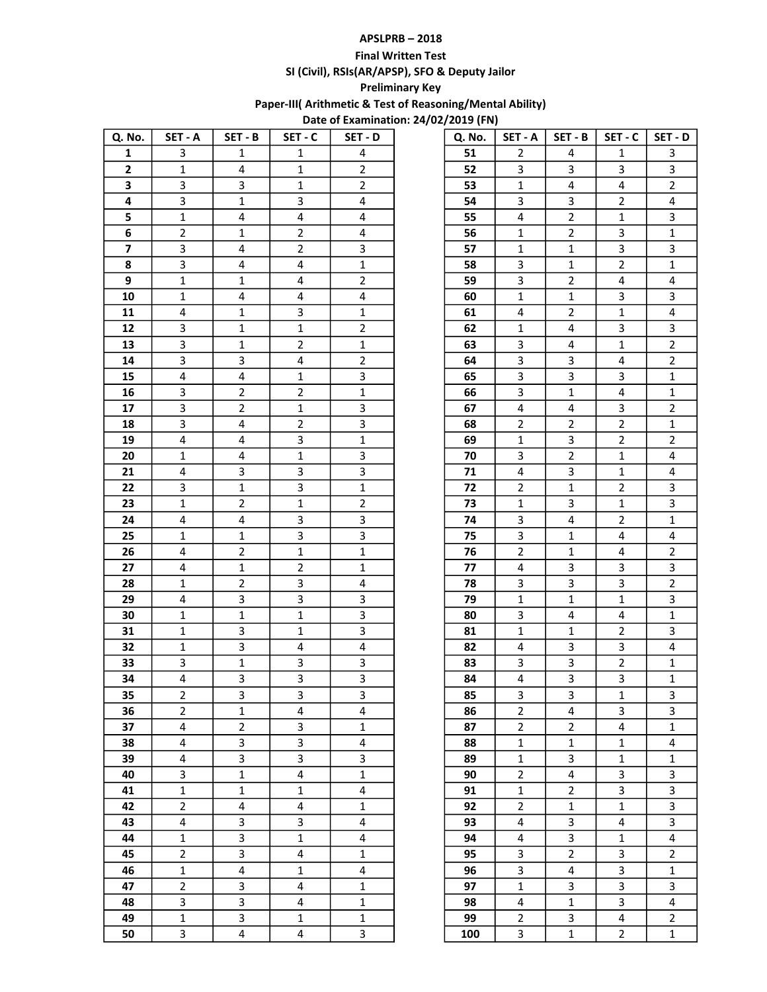## APSLPRB – 2018 Final Written Test SI (Civil), RSIs(AR/APSP), SFO & Deputy Jailor Preliminary Key Paper-III( Arithmetic & Test of Reasoning/Mental Ability)

Date of Examination: 24/02/2019 (FN)

|                         |                         |                         |                |                         | ---- v.v. |                         |                |                |                         |
|-------------------------|-------------------------|-------------------------|----------------|-------------------------|-----------|-------------------------|----------------|----------------|-------------------------|
| Q. No.                  | SET - A                 | SET-B                   | SET - C        | SET - D                 | Q. No.    | SET - A                 | SET - B        | SET - C        | SET - D                 |
| 1                       | 3                       | $\mathbf{1}$            | $\mathbf{1}$   | 4                       | 51        | $\overline{2}$          | 4              | 1              | 3                       |
| $\overline{2}$          | $\mathbf{1}$            | 4                       | $\mathbf{1}$   | $\overline{2}$          | 52        | 3                       | 3              | 3              | 3                       |
| 3                       | 3                       | 3                       | $\mathbf{1}$   | $\overline{2}$          | 53        | $\mathbf 1$             | 4              | 4              | $\mathbf 2$             |
| 4                       | 3                       | $\mathbf{1}$            | 3              | 4                       | 54        | 3                       | 3              | $\overline{2}$ | 4                       |
| 5                       | $\mathbf{1}$            | $\overline{\mathbf{4}}$ | 4              | 4                       | 55        | 4                       | $\overline{2}$ | $\mathbf 1$    | 3                       |
| 6                       | $\overline{2}$          | $\mathbf 1$             | $\overline{2}$ | 4                       | 56        | $\mathbf{1}$            | $\overline{2}$ | 3              | $\mathbf 1$             |
| $\overline{\mathbf{z}}$ | 3                       | $\overline{a}$          | $\overline{2}$ | 3                       | 57        | $\mathbf{1}$            | $\mathbf 1$    | 3              | 3                       |
| 8                       | 3                       | $\overline{a}$          | 4              | $\mathbf{1}$            | 58        | 3                       | $\mathbf{1}$   | $\overline{2}$ | $\mathbf{1}$            |
| 9                       | $\mathbf{1}$            | $\mathbf{1}$            | 4              | $\overline{2}$          | 59        | 3                       | $\overline{2}$ | 4              | 4                       |
| 10                      | $\mathbf{1}$            | 4                       | 4              | $\overline{\mathbf{4}}$ | 60        | $\mathbf{1}$            | $\mathbf{1}$   | 3              | 3                       |
| 11                      | $\overline{\mathbf{4}}$ | $\mathbf{1}$            | 3              | $\mathbf{1}$            | 61        | 4                       | $\overline{2}$ | $\mathbf 1$    | $\overline{\mathbf{4}}$ |
| 12                      | 3                       | $\mathbf 1$             | $\mathbf 1$    | $\overline{2}$          | 62        | $\mathbf{1}$            | 4              | 3              | $\mathsf{3}$            |
| 13                      | 3                       | $\mathbf{1}$            | $\overline{2}$ | $\mathbf{1}$            | 63        | 3                       | 4              | $\mathbf 1$    | $\overline{2}$          |
| 14                      | 3                       | 3                       | 4              | $\overline{2}$          | 64        | 3                       | 3              | 4              | $\overline{2}$          |
| 15                      | 4                       | $\overline{\mathbf{4}}$ | $\mathbf{1}$   | 3                       | 65        | 3                       | 3              | 3              | $\mathbf 1$             |
| 16                      | 3                       | $\overline{2}$          | $\overline{2}$ | $\mathbf{1}$            | 66        | 3                       | $\mathbf{1}$   | 4              | $\mathbf 1$             |
| 17                      | 3                       | $\overline{2}$          | $\mathbf{1}$   | 3                       | 67        | 4                       | 4              | 3              | $\overline{2}$          |
| 18                      | 3                       | 4                       | $\overline{2}$ | 3                       | 68        | $\overline{2}$          | $\overline{2}$ | $\overline{2}$ | $\mathbf{1}$            |
| 19                      | 4                       | $\overline{a}$          | 3              | $\mathbf{1}$            | 69        | $\mathbf{1}$            | 3              | $\overline{2}$ | $\overline{2}$          |
| 20                      | $\mathbf{1}$            | 4                       | $\mathbf 1$    | 3                       | 70        | 3                       | $\overline{2}$ | $\mathbf{1}$   | 4                       |
| 21                      | 4                       | 3                       | 3              | 3                       | 71        | 4                       | $\overline{3}$ | $\mathbf{1}$   | 4                       |
| 22                      | 3                       | $\mathbf 1$             | 3              | $\mathbf{1}$            | 72        | $\overline{2}$          | $\mathbf{1}$   | $\overline{2}$ | 3                       |
| 23                      | $\mathbf{1}$            | $\overline{2}$          | $\mathbf{1}$   | $\overline{2}$          | 73        | $\mathbf{1}$            | 3              | $\mathbf{1}$   | 3                       |
| 24                      | 4                       | $\overline{a}$          | 3              | 3                       | 74        | 3                       | 4              | $\overline{2}$ | $\mathbf{1}$            |
| 25                      | $\mathbf{1}$            | $\mathbf 1$             | 3              | 3                       | 75        | 3                       | $\mathbf{1}$   | 4              | 4                       |
| 26                      | 4                       | $\mathbf 2$             | 1              | $\mathbf{1}$            | 76        | $\overline{2}$          | $\mathbf{1}$   | 4              | $\overline{2}$          |
| 27                      | 4                       | $\mathbf{1}$            | $\overline{2}$ | $\mathbf{1}$            | 77        | 4                       | 3              | 3              | 3                       |
| 28                      | 1                       | $\overline{2}$          | 3              | 4                       | 78        | 3                       | $\mathsf{3}$   | 3              | $\mathbf 2$             |
| 29                      | 4                       | 3                       | 3              | 3                       | 79        | $\mathbf{1}$            | $\mathbf{1}$   | $\mathbf{1}$   | 3                       |
| 30                      | $\mathbf{1}$            | $\mathbf 1$             | $\mathbf{1}$   | 3                       | 80        | 3                       | 4              | 4              | $\mathbf 1$             |
| 31                      | $\mathbf{1}$            | 3                       | $\mathbf{1}$   | 3                       | 81        | $\mathbf{1}$            | $\mathbf{1}$   | $\overline{2}$ | 3                       |
| 32                      | $\mathbf 1$             | 3                       | 4              | 4                       | 82        | 4                       | 3              | 3              | 4                       |
| 33                      | 3                       | $\mathbf 1$             | 3              | 3                       | 83        | 3                       | 3              | $\overline{2}$ | $\mathbf 1$             |
| 34                      | 4                       | 3                       | 3              | 3                       | 84        | $\overline{\mathbf{4}}$ | 3              | 3              | $\mathbf{1}$            |
| 35                      | $\overline{2}$          | 3                       | 3              | 3                       | 85        | 3                       | 3              | $\mathbf 1$    | 3                       |
| 36                      | $\overline{2}$          | $\mathbf{1}$            | 4              | $\overline{4}$          | 86        | $\overline{2}$          | $\overline{4}$ | 3              | 3                       |
| 37                      | 4                       | $\overline{2}$          | 3              | $\mathbf{1}$            | 87        | $\overline{2}$          | $\overline{2}$ | 4              | $\mathbf{1}$            |
| 38                      | 4                       | 3                       | 3              | 4                       | 88        | $\mathbf{1}$            | $\mathbf{1}$   | $\mathbf{1}$   | 4                       |
| 39                      | 4                       | 3                       | 3              | 3                       | 89        | $\mathbf{1}$            | 3              | $\mathbf 1$    | $\mathbf{1}$            |
| 40                      | 3                       | $\mathbf 1$             | 4              | $\mathbf{1}$            | 90        | $\overline{2}$          | 4              | 3              | 3                       |
| 41                      | $\mathbf{1}$            | $\mathbf{1}$            | $\mathbf{1}$   | 4                       | 91        | $\mathbf{1}$            | $\overline{2}$ | 3              | 3                       |
| 42                      | $\overline{2}$          | $\overline{\mathbf{4}}$ | 4              | $\mathbf{1}$            | 92        | $\overline{2}$          | $\mathbf{1}$   | $\mathbf 1$    | 3                       |
| 43                      | 4                       | 3                       | 3              | 4                       | 93        | 4                       | $\overline{3}$ | 4              | 3                       |
| 44                      | $\mathbf{1}$            | 3                       | $\mathbf{1}$   | $\overline{\mathbf{4}}$ | 94        | 4                       | $\mathbf{3}$   | $\mathbf 1$    | $\overline{\mathbf{4}}$ |
| 45                      | $\overline{2}$          | 3                       | 4              | $\mathbf{1}$            | 95        | 3                       | $\overline{2}$ | 3              | $\overline{2}$          |
| 46                      | $\mathbf 1$             | $\pmb{4}$               | $\mathbf{1}$   | 4                       | 96        | $\mathbf{3}$            | 4              | 3              | $\mathbf 1$             |
| 47                      | $\overline{2}$          | 3                       | 4              | $\mathbf{1}$            | 97        | $\mathbf{1}$            | 3              | 3              | 3                       |
| 48                      | 3                       | 3                       | 4              | $\mathbf{1}$            | 98        | 4                       | $\mathbf{1}$   | 3              | 4                       |
| 49                      | $\mathbf{1}$            | 3                       | 1              | $\mathbf 1$             | 99        | $\overline{2}$          | 3              | 4              | $\overline{2}$          |
| 50                      | 3                       | $\overline{\mathbf{4}}$ | 4              | 3                       | 100       | $\mathbf{3}$            | $\mathbf 1$    | $\overline{2}$ | $\mathbf 1$             |
|                         |                         |                         |                |                         |           |                         |                |                |                         |